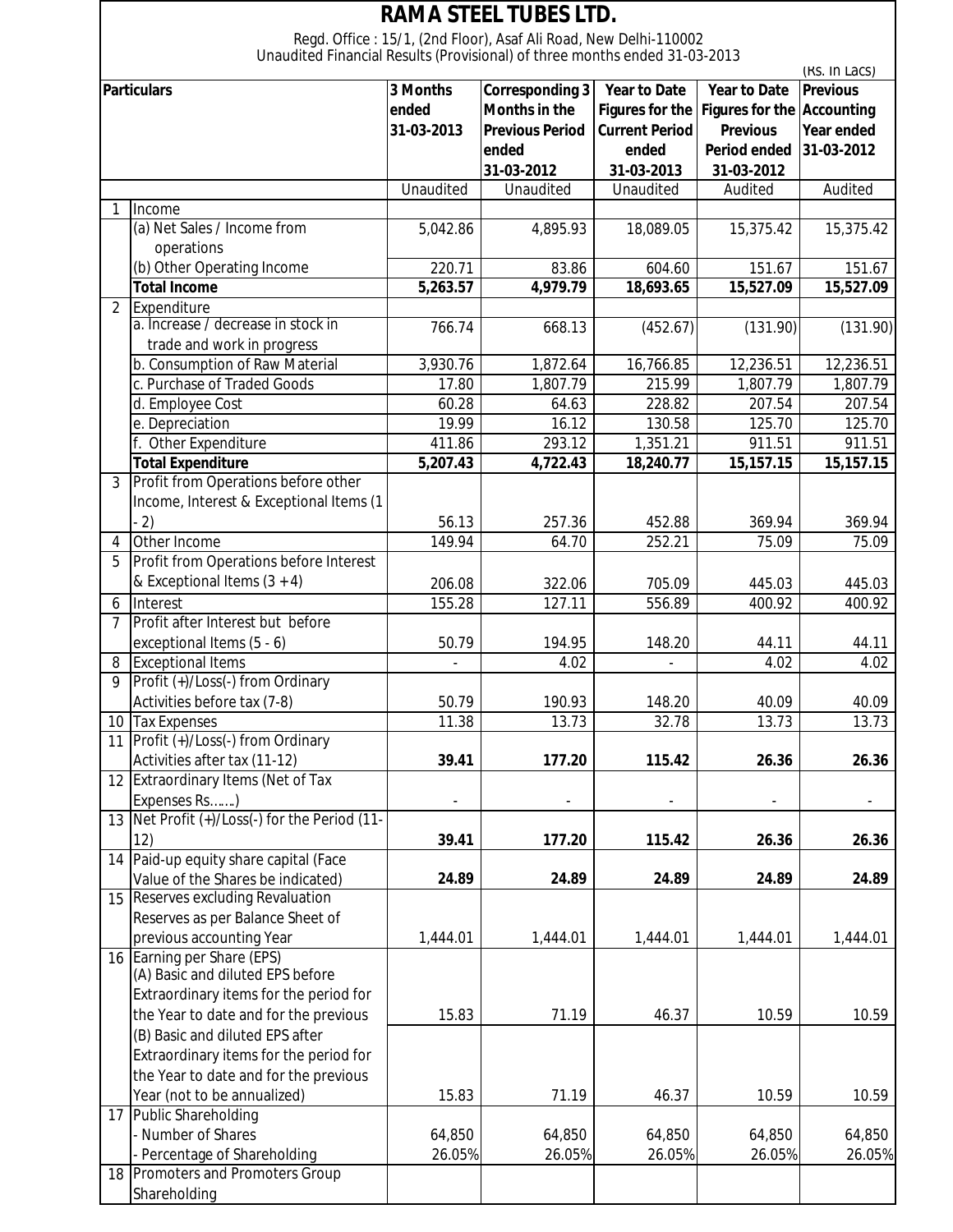| <b>RAMA STEEL TUBES LTD.</b>                                                                                                                   |                                                                |            |                        |                        |                                   |                   |  |  |  |  |  |
|------------------------------------------------------------------------------------------------------------------------------------------------|----------------------------------------------------------------|------------|------------------------|------------------------|-----------------------------------|-------------------|--|--|--|--|--|
| Regd. Office: 15/1, (2nd Floor), Asaf Ali Road, New Delhi-110002<br>Unaudited Financial Results (Provisional) of three months ended 31-03-2013 |                                                                |            |                        |                        |                                   |                   |  |  |  |  |  |
|                                                                                                                                                |                                                                |            |                        | (RS. In Lacs)          |                                   |                   |  |  |  |  |  |
| <b>Particulars</b>                                                                                                                             |                                                                | 3 Months   | Corresponding 3        | <b>Year to Date</b>    | <b>Year to Date</b>               | <b>Previous</b>   |  |  |  |  |  |
|                                                                                                                                                |                                                                | ended      | <b>Months in the</b>   | <b>Figures for the</b> | <b>Figures for the Accounting</b> |                   |  |  |  |  |  |
|                                                                                                                                                |                                                                | 31-03-2013 | <b>Previous Period</b> | <b>Current Period</b>  | <b>Previous</b>                   | <b>Year ended</b> |  |  |  |  |  |
|                                                                                                                                                |                                                                |            | ended                  | ended                  | <b>Period ended</b>               | 31-03-2012        |  |  |  |  |  |
|                                                                                                                                                |                                                                |            | 31-03-2012             | 31-03-2013             | 31-03-2012                        |                   |  |  |  |  |  |
|                                                                                                                                                |                                                                | Unaudited  | Unaudited              | Unaudited              | Audited                           | Audited           |  |  |  |  |  |
| 1                                                                                                                                              | Income                                                         |            |                        |                        |                                   |                   |  |  |  |  |  |
|                                                                                                                                                | (a) Net Sales / Income from                                    | 5,042.86   | 4,895.93               | 18,089.05              | 15,375.42                         | 15,375.42         |  |  |  |  |  |
|                                                                                                                                                | operations                                                     |            |                        |                        |                                   |                   |  |  |  |  |  |
|                                                                                                                                                | (b) Other Operating Income                                     | 220.71     | 83.86                  | 604.60                 | 151.67                            | 151.67            |  |  |  |  |  |
|                                                                                                                                                | <b>Total Income</b>                                            | 5,263.57   | 4,979.79               | 18,693.65              | 15,527.09                         | 15,527.09         |  |  |  |  |  |
| $\overline{2}$                                                                                                                                 | Expenditure                                                    |            |                        |                        |                                   |                   |  |  |  |  |  |
|                                                                                                                                                | a. Increase / decrease in stock in                             | 766.74     | 668.13                 | (452.67)               | (131.90)                          | (131.90)          |  |  |  |  |  |
|                                                                                                                                                | trade and work in progress                                     |            |                        |                        |                                   |                   |  |  |  |  |  |
|                                                                                                                                                | b. Consumption of Raw Material                                 | 3,930.76   | 1,872.64               | 16,766.85              | 12,236.51                         | 12,236.51         |  |  |  |  |  |
|                                                                                                                                                | c. Purchase of Traded Goods                                    | 17.80      | 1,807.79               | 215.99                 | 1,807.79                          | 1,807.79          |  |  |  |  |  |
|                                                                                                                                                | d. Employee Cost                                               | 60.28      | 64.63                  | 228.82                 | 207.54                            | 207.54            |  |  |  |  |  |
|                                                                                                                                                | e. Depreciation                                                | 19.99      | 16.12                  | 130.58                 | 125.70                            | 125.70            |  |  |  |  |  |
|                                                                                                                                                | f. Other Expenditure                                           | 411.86     | 293.12                 | 1,351.21               | 911.51                            | 911.51            |  |  |  |  |  |
|                                                                                                                                                | <b>Total Expenditure</b>                                       | 5,207.43   | 4,722.43               | 18,240.77              | 15, 157. 15                       | 15,157.15         |  |  |  |  |  |
| 3                                                                                                                                              | Profit from Operations before other                            |            |                        |                        |                                   |                   |  |  |  |  |  |
|                                                                                                                                                | Income, Interest & Exceptional Items (1                        |            |                        |                        |                                   |                   |  |  |  |  |  |
|                                                                                                                                                | $\left( 2\right)$                                              | 56.13      | 257.36                 | 452.88                 | 369.94                            | 369.94            |  |  |  |  |  |
| 4                                                                                                                                              | Other Income                                                   | 149.94     | 64.70                  | 252.21                 | 75.09                             | 75.09             |  |  |  |  |  |
| 5                                                                                                                                              | Profit from Operations before Interest                         |            |                        |                        |                                   |                   |  |  |  |  |  |
|                                                                                                                                                | & Exceptional Items $(3 + 4)$                                  | 206.08     | 322.06                 | 705.09                 | 445.03                            | 445.03            |  |  |  |  |  |
| 6                                                                                                                                              | Interest                                                       | 155.28     | 127.11                 | 556.89                 | 400.92                            | 400.92            |  |  |  |  |  |
| $\overline{7}$                                                                                                                                 | Profit after Interest but before                               |            |                        |                        |                                   |                   |  |  |  |  |  |
|                                                                                                                                                | exceptional Items (5 - 6)                                      | 50.79      | 194.95                 | 148.20                 | 44.11                             | 44.11             |  |  |  |  |  |
| 8                                                                                                                                              | <b>Exceptional Items</b>                                       |            | 4.02                   |                        | 4.02                              | 4.02              |  |  |  |  |  |
| 9                                                                                                                                              | Profit (+)/Loss(-) from Ordinary                               |            |                        |                        |                                   |                   |  |  |  |  |  |
|                                                                                                                                                | Activities before tax (7-8)                                    | 50.79      | 190.93                 | 148.20                 | 40.09                             | 40.09             |  |  |  |  |  |
| 10                                                                                                                                             | <b>Tax Expenses</b>                                            | 11.38      | 13.73                  | 32.78                  | 13.73                             | 13.73             |  |  |  |  |  |
| 11                                                                                                                                             | Profit (+)/Loss(-) from Ordinary                               |            |                        |                        |                                   |                   |  |  |  |  |  |
|                                                                                                                                                | Activities after tax (11-12)                                   | 39.41      | 177.20                 | 115.42                 | 26.36                             | 26.36             |  |  |  |  |  |
|                                                                                                                                                | 12 Extraordinary Items (Net of Tax                             |            |                        |                        |                                   |                   |  |  |  |  |  |
|                                                                                                                                                | Expenses Rs)                                                   |            |                        |                        |                                   |                   |  |  |  |  |  |
|                                                                                                                                                | 13 Net Profit (+)/Loss(-) for the Period (11-                  |            |                        |                        |                                   |                   |  |  |  |  |  |
|                                                                                                                                                | 12)                                                            | 39.41      | 177.20                 | 115.42                 | 26.36                             | 26.36             |  |  |  |  |  |
|                                                                                                                                                | 14 Paid-up equity share capital (Face                          |            |                        |                        |                                   |                   |  |  |  |  |  |
|                                                                                                                                                | Value of the Shares be indicated)                              | 24.89      | 24.89                  | 24.89                  | 24.89                             | 24.89             |  |  |  |  |  |
| 15                                                                                                                                             | Reserves excluding Revaluation                                 |            |                        |                        |                                   |                   |  |  |  |  |  |
|                                                                                                                                                | Reserves as per Balance Sheet of                               |            |                        |                        |                                   |                   |  |  |  |  |  |
|                                                                                                                                                | previous accounting Year                                       | 1,444.01   | 1,444.01               | 1,444.01               | 1,444.01                          | 1,444.01          |  |  |  |  |  |
|                                                                                                                                                | 16 Earning per Share (EPS)<br>(A) Basic and diluted EPS before |            |                        |                        |                                   |                   |  |  |  |  |  |
|                                                                                                                                                | Extraordinary items for the period for                         |            |                        |                        |                                   |                   |  |  |  |  |  |
|                                                                                                                                                | the Year to date and for the previous                          | 15.83      | 71.19                  | 46.37                  | 10.59                             | 10.59             |  |  |  |  |  |
|                                                                                                                                                | (B) Basic and diluted EPS after                                |            |                        |                        |                                   |                   |  |  |  |  |  |
|                                                                                                                                                | Extraordinary items for the period for                         |            |                        |                        |                                   |                   |  |  |  |  |  |
|                                                                                                                                                | the Year to date and for the previous                          |            |                        |                        |                                   |                   |  |  |  |  |  |
|                                                                                                                                                | Year (not to be annualized)                                    | 15.83      | 71.19                  | 46.37                  | 10.59                             | 10.59             |  |  |  |  |  |
|                                                                                                                                                | 17 Public Shareholding                                         |            |                        |                        |                                   |                   |  |  |  |  |  |
|                                                                                                                                                | Number of Shares                                               | 64,850     | 64,850                 | 64,850                 | 64,850                            | 64,850            |  |  |  |  |  |
|                                                                                                                                                | Percentage of Shareholding                                     | 26.05%     | 26.05%                 | 26.05%                 | 26.05%                            | 26.05%            |  |  |  |  |  |
|                                                                                                                                                | 18 Promoters and Promoters Group                               |            |                        |                        |                                   |                   |  |  |  |  |  |
|                                                                                                                                                | Shareholding                                                   |            |                        |                        |                                   |                   |  |  |  |  |  |
|                                                                                                                                                |                                                                |            |                        |                        |                                   |                   |  |  |  |  |  |